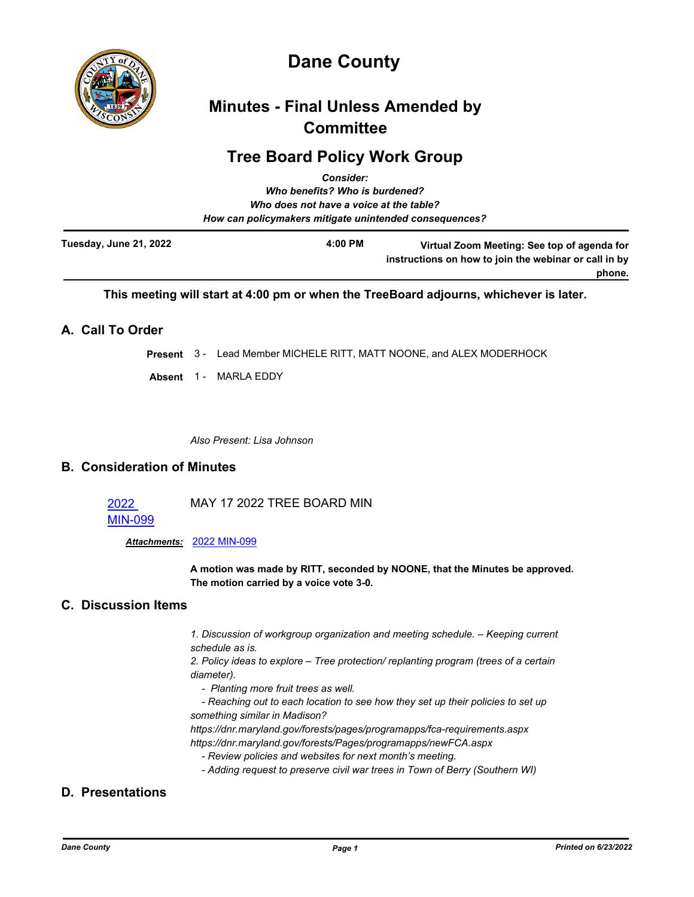

# **Dane County**

# **Minutes - Final Unless Amended by Committee**

# **Tree Board Policy Work Group**

|                        | <b>Consider:</b>                                       |                                                                                                      |
|------------------------|--------------------------------------------------------|------------------------------------------------------------------------------------------------------|
|                        | Who benefits? Who is burdened?                         |                                                                                                      |
|                        | Who does not have a voice at the table?                |                                                                                                      |
|                        | How can policymakers mitigate unintended consequences? |                                                                                                      |
| Tuesday, June 21, 2022 | $4:00$ PM                                              | Virtual Zoom Meeting: See top of agenda for<br>instructions on how to join the webinar or call in by |
|                        |                                                        | phone.                                                                                               |

**This meeting will start at 4:00 pm or when the TreeBoard adjourns, whichever is later.**

## **A. Call To Order**

**Present** 3 - Lead Member MICHELE RITT, MATT NOONE, and ALEX MODERHOCK

**Absent** 1 - MARLA EDDY

*Also Present: Lisa Johnson*

## **B. Consideration of Minutes**

2022 [MIN-099](http://dane.legistar.com/gateway.aspx?m=l&id=/matter.aspx?key=23042) MAY 17 2022 TREE BOARD MIN

*Attachments:* [2022 MIN-099](http://dane.legistar.com/gateway.aspx?M=F&ID=57ba7d5e-11b8-43e9-bfe6-812b92531063.pdf)

**A motion was made by RITT, seconded by NOONE, that the Minutes be approved. The motion carried by a voice vote 3-0.**

## **C. Discussion Items**

*1. Discussion of workgroup organization and meeting schedule. – Keeping current schedule as is.*

*2. Policy ideas to explore – Tree protection/ replanting program (trees of a certain diameter).*

- *Planting more fruit trees as well.*
- *Reaching out to each location to see how they set up their policies to set up something similar in Madison?*

*https://dnr.maryland.gov/forests/pages/programapps/fca-requirements.aspx https://dnr.maryland.gov/forests/Pages/programapps/newFCA.aspx*

- *Review policies and websites for next month's meeting.*
- *Adding request to preserve civil war trees in Town of Berry (Southern WI)*

# **D. Presentations**